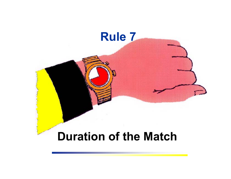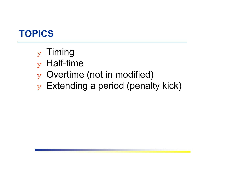# **TOPICS**

- $_Y$  Timing
- $_{\rm y}$  Half-time
- ❖ Overtime (not in modified)
- $\mathbf y$  Extending a period (penalty kick)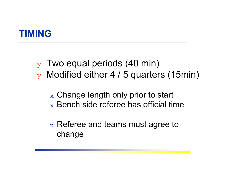#### **TIMING**

- $_{\rm y}$  Two equal periods (40 min)
- $\rm{y}$  Modified either 4 / 5 quarters (15min)
	- $\mathrm{_{\mathrm{x}}}$  Change length only prior to start  $_\mathrm{\text{x}}$  Bench side referee has official time
	- $\mathrm{_{\mathrm{x}}}$  Referee and teams must agree to  $\mathrm{_{\mathrm{x}}}$ change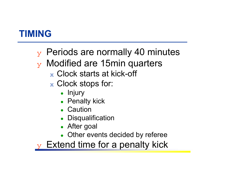### **TIMING**

- $\mathbf y$  Periods are normally 40 minutes
- $\mathbf y$  Modified are 15 min quarters
	- $_\mathrm{\text{x}}$  Clock starts at kick-off
	- $_\mathrm{\text{x}}$  Clock stops for:
		- $\bullet$  Injury
		- Penalty kick
		- Caution
		- Disqualification
		- After goal
		- Other events decided by referee

 $\mathbf y$  Extend time for a penalty kick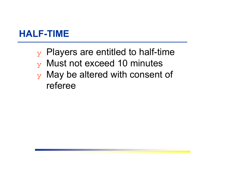#### **HALF-TIME**

- $\mathbf y$  Players are entitled to half-time
- ❖ Must not exceed 10 minutes
- $\mathbf y$  May be altered with consent of referee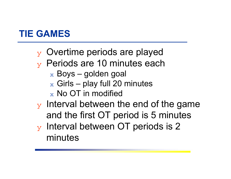## **TIE GAMES**

- $\mathbf y$  Overtime periods are played
- ❖ Periods are 10 minutes each
	- $\rm{_{x}}$  Boys golden goal
	- $_\mathrm{\text{x}}$  Girls play full 20 minutes
	- $_\mathrm{\text{x}}$  No OT in modified
- $\mathbf y$  Interval between the end of the game and the first OT period is 5 minutes
- $\mathbf y$  Interval between OT periods is 2 minutes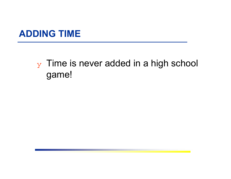#### **ADDING TIME**

# $_Y$  Time is never added in a high school game!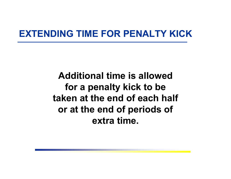#### **EXTENDING TIME FOR PENALTY KICK**

**Additional time is allowed for a penalty kick to be taken at the end of each half or at the end of periods of extra time.**